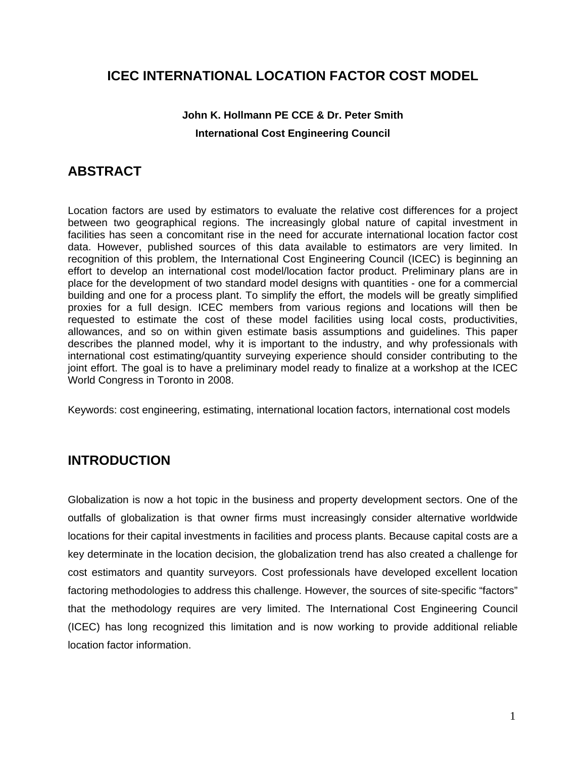### **ICEC INTERNATIONAL LOCATION FACTOR COST MODEL**

#### **John K. Hollmann PE CCE & Dr. Peter Smith International Cost Engineering Council**

### **ABSTRACT**

Location factors are used by estimators to evaluate the relative cost differences for a project between two geographical regions. The increasingly global nature of capital investment in facilities has seen a concomitant rise in the need for accurate international location factor cost data. However, published sources of this data available to estimators are very limited. In recognition of this problem, the International Cost Engineering Council (ICEC) is beginning an effort to develop an international cost model/location factor product. Preliminary plans are in place for the development of two standard model designs with quantities - one for a commercial building and one for a process plant. To simplify the effort, the models will be greatly simplified proxies for a full design. ICEC members from various regions and locations will then be requested to estimate the cost of these model facilities using local costs, productivities, allowances, and so on within given estimate basis assumptions and guidelines. This paper describes the planned model, why it is important to the industry, and why professionals with international cost estimating/quantity surveying experience should consider contributing to the joint effort. The goal is to have a preliminary model ready to finalize at a workshop at the ICEC World Congress in Toronto in 2008.

Keywords: cost engineering, estimating, international location factors, international cost models

## **INTRODUCTION**

Globalization is now a hot topic in the business and property development sectors. One of the outfalls of globalization is that owner firms must increasingly consider alternative worldwide locations for their capital investments in facilities and process plants. Because capital costs are a key determinate in the location decision, the globalization trend has also created a challenge for cost estimators and quantity surveyors. Cost professionals have developed excellent location factoring methodologies to address this challenge. However, the sources of site-specific "factors" that the methodology requires are very limited. The International Cost Engineering Council (ICEC) has long recognized this limitation and is now working to provide additional reliable location factor information.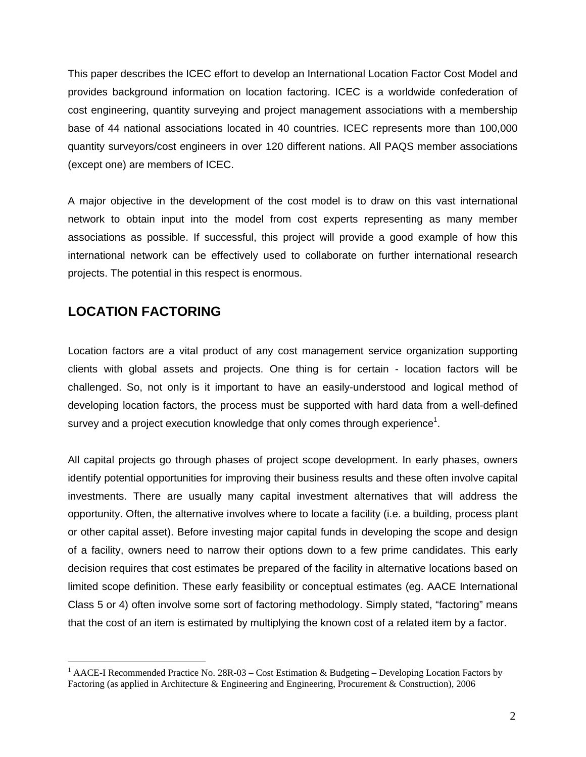This paper describes the ICEC effort to develop an International Location Factor Cost Model and provides background information on location factoring. ICEC is a worldwide confederation of cost engineering, quantity surveying and project management associations with a membership base of 44 national associations located in 40 countries. ICEC represents more than 100,000 quantity surveyors/cost engineers in over 120 different nations. All PAQS member associations (except one) are members of ICEC.

A major objective in the development of the cost model is to draw on this vast international network to obtain input into the model from cost experts representing as many member associations as possible. If successful, this project will provide a good example of how this international network can be effectively used to collaborate on further international research projects. The potential in this respect is enormous.

## **LOCATION FACTORING**

 $\overline{a}$ 

Location factors are a vital product of any cost management service organization supporting clients with global assets and projects. One thing is for certain - location factors will be challenged. So, not only is it important to have an easily-understood and logical method of developing location factors, the process must be supported with hard data from a well-defined survey and a project execution knowledge that only comes through experience<sup>1</sup>.

All capital projects go through phases of project scope development. In early phases, owners identify potential opportunities for improving their business results and these often involve capital investments. There are usually many capital investment alternatives that will address the opportunity. Often, the alternative involves where to locate a facility (i.e. a building, process plant or other capital asset). Before investing major capital funds in developing the scope and design of a facility, owners need to narrow their options down to a few prime candidates. This early decision requires that cost estimates be prepared of the facility in alternative locations based on limited scope definition. These early feasibility or conceptual estimates (eg. AACE International Class 5 or 4) often involve some sort of factoring methodology. Simply stated, "factoring" means that the cost of an item is estimated by multiplying the known cost of a related item by a factor.

<sup>&</sup>lt;sup>1</sup> AACE-I Recommended Practice No. 28R-03 – Cost Estimation & Budgeting – Developing Location Factors by Factoring (as applied in Architecture & Engineering and Engineering, Procurement & Construction), 2006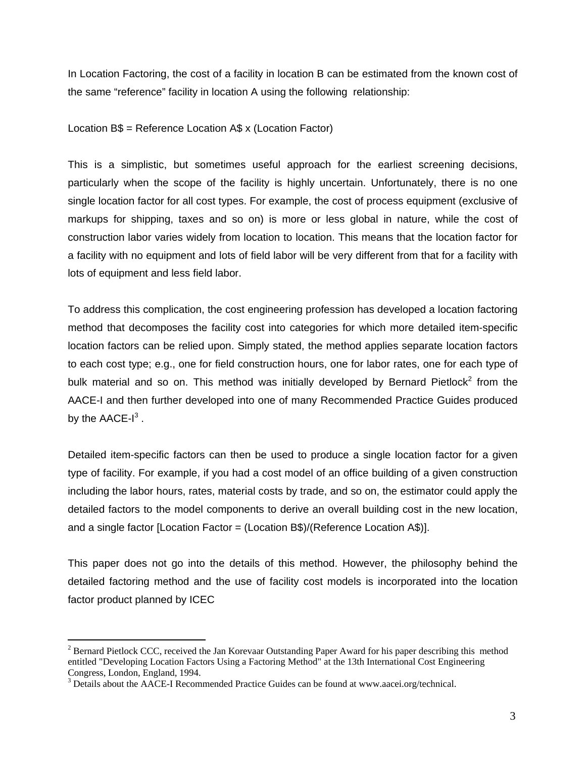In Location Factoring, the cost of a facility in location B can be estimated from the known cost of the same "reference" facility in location A using the following relationship:

Location B\$ = Reference Location A\$ x (Location Factor)

This is a simplistic, but sometimes useful approach for the earliest screening decisions, particularly when the scope of the facility is highly uncertain. Unfortunately, there is no one single location factor for all cost types. For example, the cost of process equipment (exclusive of markups for shipping, taxes and so on) is more or less global in nature, while the cost of construction labor varies widely from location to location. This means that the location factor for a facility with no equipment and lots of field labor will be very different from that for a facility with lots of equipment and less field labor.

To address this complication, the cost engineering profession has developed a location factoring method that decomposes the facility cost into categories for which more detailed item-specific location factors can be relied upon. Simply stated, the method applies separate location factors to each cost type; e.g., one for field construction hours, one for labor rates, one for each type of bulk material and so on. This method was initially developed by Bernard Pietlock<sup>2</sup> from the AACE-I and then further developed into one of many Recommended Practice Guides produced by the AACE-I $^3$  .

Detailed item-specific factors can then be used to produce a single location factor for a given type of facility. For example, if you had a cost model of an office building of a given construction including the labor hours, rates, material costs by trade, and so on, the estimator could apply the detailed factors to the model components to derive an overall building cost in the new location, and a single factor [Location Factor = (Location B\$)/(Reference Location A\$)].

This paper does not go into the details of this method. However, the philosophy behind the detailed factoring method and the use of facility cost models is incorporated into the location factor product planned by ICEC

 $\overline{a}$ 

 $2^2$  Bernard Pietlock CCC, received the Jan Korevaar Outstanding Paper Award for his paper describing this method entitled "Developing Location Factors Using a Factoring Method" at the 13th International Cost Engineering Congress, London, England, 1994.

<sup>&</sup>lt;sup>3</sup> Details about the AACE-I Recommended Practice Guides can be found at www.aacei.org/technical.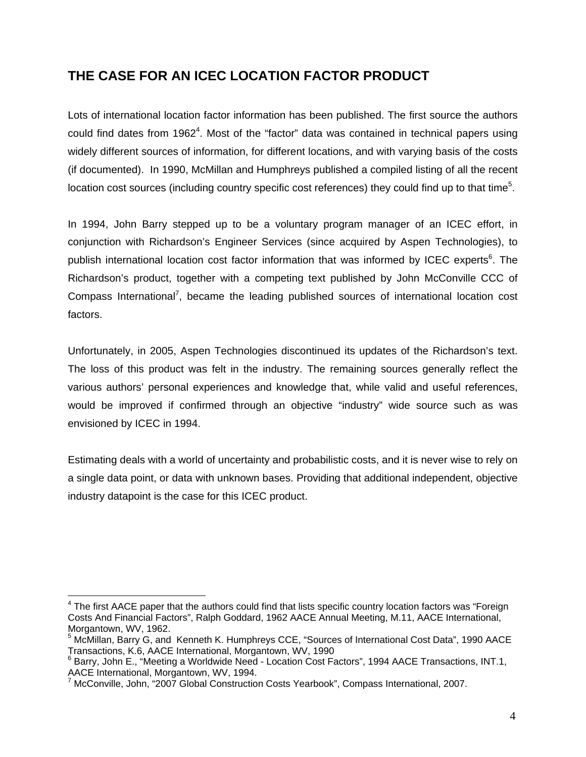# **THE CASE FOR AN ICEC LOCATION FACTOR PRODUCT**

Lots of international location factor information has been published. The first source the authors could find dates from 1962<sup>4</sup>. Most of the "factor" data was contained in technical papers using widely different sources of information, for different locations, and with varying basis of the costs (if documented). In 1990, McMillan and Humphreys published a compiled listing of all the recent location cost sources (including country specific cost references) they could find up to that time<sup>5</sup>.

In 1994, John Barry stepped up to be a voluntary program manager of an ICEC effort, in conjunction with Richardson's Engineer Services (since acquired by Aspen Technologies), to publish international location cost factor information that was informed by ICEC experts<sup>6</sup>. The Richardson's product, together with a competing text published by John McConville CCC of Compass International<sup>7</sup>, became the leading published sources of international location cost factors.

Unfortunately, in 2005, Aspen Technologies discontinued its updates of the Richardson's text. The loss of this product was felt in the industry. The remaining sources generally reflect the various authors' personal experiences and knowledge that, while valid and useful references, would be improved if confirmed through an objective "industry" wide source such as was envisioned by ICEC in 1994.

Estimating deals with a world of uncertainty and probabilistic costs, and it is never wise to rely on a single data point, or data with unknown bases. Providing that additional independent, objective industry datapoint is the case for this ICEC product.

<sup>————————————————————&</sup>lt;br><sup>4</sup> The first AACE paper that the authors could find that lists specific country location factors was "Foreign <sup>—</sup> Costs And Financial Factors", Ralph Goddard, 1962 AACE Annual Meeting, M.11, AACE International, Morgantown, WV, 1962.

<sup>&</sup>lt;sup>5</sup> McMillan, Barry G, and Kenneth K. Humphreys CCE, "Sources of International Cost Data", 1990 AACE Transactions, K.6, AACE International, Morgantown, WV, 1990

<sup>6</sup> Barry, John E., "Meeting a Worldwide Need - Location Cost Factors", 1994 AACE Transactions, INT.1, AACE International, Morgantown, WV, 1994.

<sup>&</sup>lt;sup>7</sup> McConville, John, "2007 Global Construction Costs Yearbook", Compass International, 2007.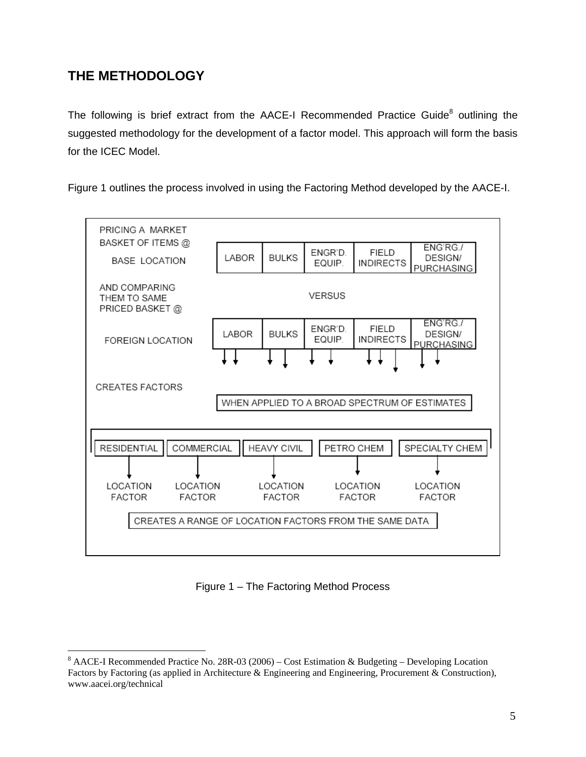# **THE METHODOLOGY**

 $\overline{a}$ 

The following is brief extract from the AACE-I Recommended Practice Guide<sup>8</sup> outlining the suggested methodology for the development of a factor model. This approach will form the basis for the ICEC Model.

Figure 1 outlines the process involved in using the Factoring Method developed by the AACE-I.



Figure 1 – The Factoring Method Process

<sup>&</sup>lt;sup>8</sup> AACE-I Recommended Practice No. 28R-03 (2006) – Cost Estimation & Budgeting – Developing Location Factors by Factoring (as applied in Architecture & Engineering and Engineering, Procurement & Construction), www.aacei.org/technical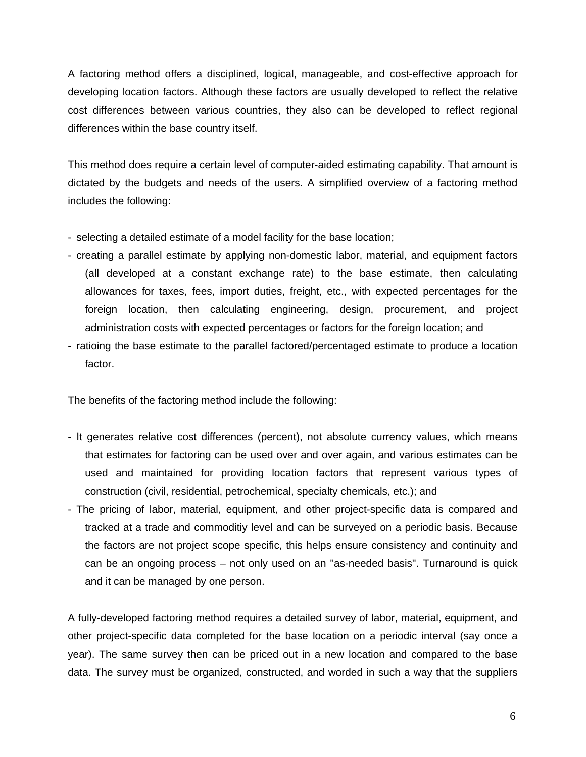A factoring method offers a disciplined, logical, manageable, and cost-effective approach for developing location factors. Although these factors are usually developed to reflect the relative cost differences between various countries, they also can be developed to reflect regional differences within the base country itself.

This method does require a certain level of computer-aided estimating capability. That amount is dictated by the budgets and needs of the users. A simplified overview of a factoring method includes the following:

- selecting a detailed estimate of a model facility for the base location;
- creating a parallel estimate by applying non-domestic labor, material, and equipment factors (all developed at a constant exchange rate) to the base estimate, then calculating allowances for taxes, fees, import duties, freight, etc., with expected percentages for the foreign location, then calculating engineering, design, procurement, and project administration costs with expected percentages or factors for the foreign location; and
- ratioing the base estimate to the parallel factored/percentaged estimate to produce a location factor.

The benefits of the factoring method include the following:

- It generates relative cost differences (percent), not absolute currency values, which means that estimates for factoring can be used over and over again, and various estimates can be used and maintained for providing location factors that represent various types of construction (civil, residential, petrochemical, specialty chemicals, etc.); and
- The pricing of labor, material, equipment, and other project-specific data is compared and tracked at a trade and commoditiy level and can be surveyed on a periodic basis. Because the factors are not project scope specific, this helps ensure consistency and continuity and can be an ongoing process – not only used on an "as-needed basis". Turnaround is quick and it can be managed by one person.

A fully-developed factoring method requires a detailed survey of labor, material, equipment, and other project-specific data completed for the base location on a periodic interval (say once a year). The same survey then can be priced out in a new location and compared to the base data. The survey must be organized, constructed, and worded in such a way that the suppliers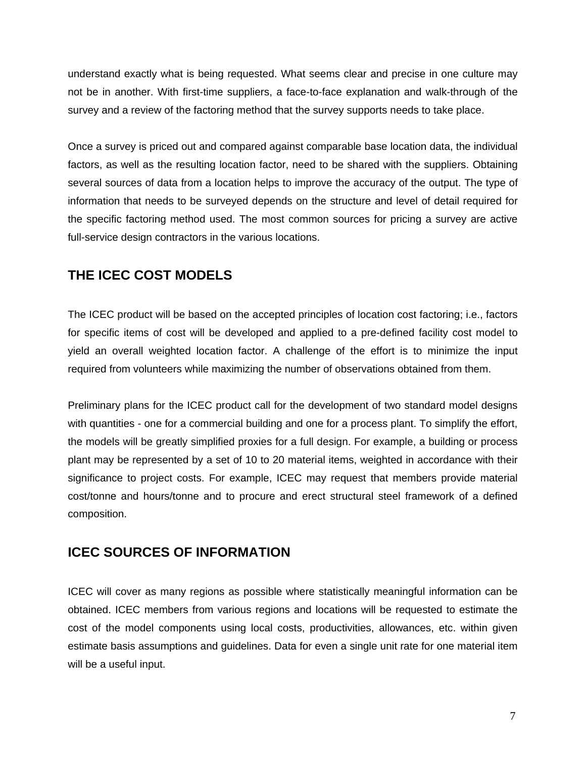understand exactly what is being requested. What seems clear and precise in one culture may not be in another. With first-time suppliers, a face-to-face explanation and walk-through of the survey and a review of the factoring method that the survey supports needs to take place.

Once a survey is priced out and compared against comparable base location data, the individual factors, as well as the resulting location factor, need to be shared with the suppliers. Obtaining several sources of data from a location helps to improve the accuracy of the output. The type of information that needs to be surveyed depends on the structure and level of detail required for the specific factoring method used. The most common sources for pricing a survey are active full-service design contractors in the various locations.

## **THE ICEC COST MODELS**

The ICEC product will be based on the accepted principles of location cost factoring; i.e., factors for specific items of cost will be developed and applied to a pre-defined facility cost model to yield an overall weighted location factor. A challenge of the effort is to minimize the input required from volunteers while maximizing the number of observations obtained from them.

Preliminary plans for the ICEC product call for the development of two standard model designs with quantities - one for a commercial building and one for a process plant. To simplify the effort, the models will be greatly simplified proxies for a full design. For example, a building or process plant may be represented by a set of 10 to 20 material items, weighted in accordance with their significance to project costs. For example, ICEC may request that members provide material cost/tonne and hours/tonne and to procure and erect structural steel framework of a defined composition.

#### **ICEC SOURCES OF INFORMATION**

ICEC will cover as many regions as possible where statistically meaningful information can be obtained. ICEC members from various regions and locations will be requested to estimate the cost of the model components using local costs, productivities, allowances, etc. within given estimate basis assumptions and guidelines. Data for even a single unit rate for one material item will be a useful input.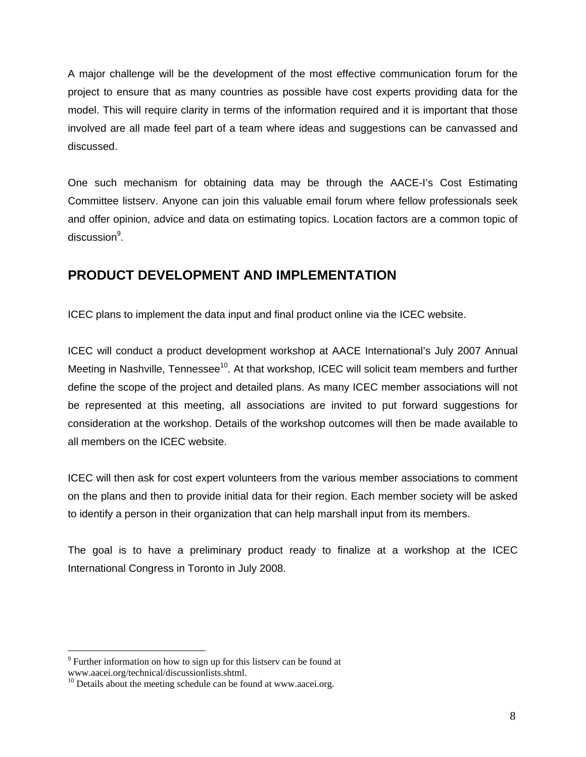A major challenge will be the development of the most effective communication forum for the project to ensure that as many countries as possible have cost experts providing data for the model. This will require clarity in terms of the information required and it is important that those involved are all made feel part of a team where ideas and suggestions can be canvassed and discussed.

One such mechanism for obtaining data may be through the AACE-I's Cost Estimating Committee listserv. Anyone can join this valuable email forum where fellow professionals seek and offer opinion, advice and data on estimating topics. Location factors are a common topic of discussion<sup>9</sup>.

### **PRODUCT DEVELOPMENT AND IMPLEMENTATION**

ICEC plans to implement the data input and final product online via the ICEC website.

ICEC will conduct a product development workshop at AACE International's July 2007 Annual Meeting in Nashville, Tennessee<sup>10</sup>. At that workshop, ICEC will solicit team members and further define the scope of the project and detailed plans. As many ICEC member associations will not be represented at this meeting, all associations are invited to put forward suggestions for consideration at the workshop. Details of the workshop outcomes will then be made available to all members on the ICEC website.

ICEC will then ask for cost expert volunteers from the various member associations to comment on the plans and then to provide initial data for their region. Each member society will be asked to identify a person in their organization that can help marshall input from its members.

The goal is to have a preliminary product ready to finalize at a workshop at the ICEC International Congress in Toronto in July 2008.

 $\overline{a}$ 

<sup>&</sup>lt;sup>9</sup> Further information on how to sign up for this listserv can be found at www.aacei.org/technical/discussionlists.shtml.

 $10$  Details about the meeting schedule can be found at www.aacei.org.